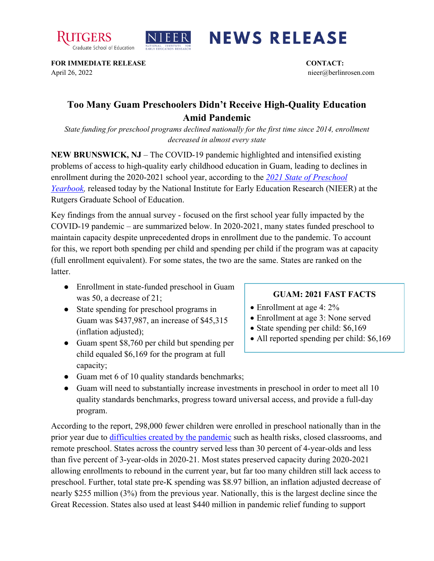



## **NEWS RELEASE**

**FOR IMMEDIATE RELEASE CONTACT:**  April 26, 2022 nieer@berlinrosen.com

## **Too Many Guam Preschoolers Didn't Receive High-Quality Education Amid Pandemic**

*State funding for preschool programs declined nationally for the first time since 2014, enrollment decreased in almost every state*

**NEW BRUNSWICK, NJ** – The COVID-19 pandemic highlighted and intensified existing problems of access to high-quality early childhood education in Guam, leading to declines in enrollment during the 2020-2021 school year, according to the *[2021 State of Preschool](https://nieer.org/state-preschool-yearbooks-yearbook2021)  [Yearbook,](https://nieer.org/state-preschool-yearbooks-yearbook2021)* released today by the National Institute for Early Education Research (NIEER) at the Rutgers Graduate School of Education.

Key findings from the annual survey - focused on the first school year fully impacted by the COVID-19 pandemic – are summarized below. In 2020-2021, many states funded preschool to maintain capacity despite unprecedented drops in enrollment due to the pandemic. To account for this, we report both spending per child and spending per child if the program was at capacity (full enrollment equivalent). For some states, the two are the same. States are ranked on the latter.

- Enrollment in state-funded preschool in Guam was 50, a decrease of 21;
- State spending for preschool programs in Guam was \$437,987, an increase of \$45,315 (inflation adjusted);
- Guam spent \$8,760 per child but spending per child equaled \$6,169 for the program at full capacity;

## **GUAM: 2021 FAST FACTS**

- Enrollment at age 4: 2%
- Enrollment at age 3: None served
- State spending per child: \$6,169
- All reported spending per child: \$6,169
- Guam met 6 of 10 quality standards benchmarks;
- Guam will need to substantially increase investments in preschool in order to meet all 10 quality standards benchmarks, progress toward universal access, and provide a full-day program.

According to the report, 298,000 fewer children were enrolled in preschool nationally than in the prior year due to [difficulties created by the pandemic](https://nieer.org/wp-content/uploads/2021/02/NIEER_Seven_Impacts_of_the_Pandemic_on_Young_Children_and_their_Parents.pdf) such as health risks, closed classrooms, and remote preschool. States across the country served less than 30 percent of 4-year-olds and less than five percent of 3-year-olds in 2020-21. Most states preserved capacity during 2020-2021 allowing enrollments to rebound in the current year, but far too many children still lack access to preschool. Further, total state pre-K spending was \$8.97 billion, an inflation adjusted decrease of nearly \$255 million (3%) from the previous year. Nationally, this is the largest decline since the Great Recession. States also used at least \$440 million in pandemic relief funding to support